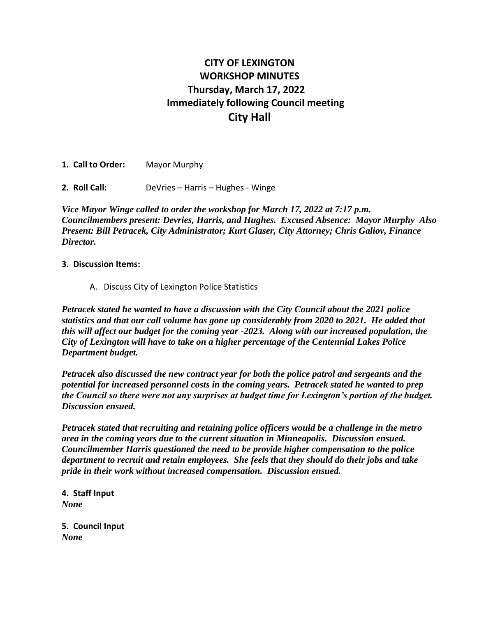## **CITY OF LEXINGTON WORKSHOP MINUTES Thursday, March 17, 2022 Immediately following Council meeting City Hall**

**1. Call to Order:** Mayor Murphy

**2. Roll Call:** DeVries – Harris – Hughes - Winge

*Vice Mayor Winge called to order the workshop for March 17, 2022 at 7:17 p.m. Councilmembers present: Devries, Harris, and Hughes. Excused Absence: Mayor Murphy Also Present: Bill Petracek, City Administrator; Kurt Glaser, City Attorney; Chris Galiov, Finance Director.*

## **3. Discussion Items:**

A. Discuss City of Lexington Police Statistics

*Petracek stated he wanted to have a discussion with the City Council about the 2021 police statistics and that our call volume has gone up considerably from 2020 to 2021. He added that this will affect our budget for the coming year -2023. Along with our increased population, the City of Lexington will have to take on a higher percentage of the Centennial Lakes Police Department budget.* 

*Petracek also discussed the new contract year for both the police patrol and sergeants and the potential for increased personnel costs in the coming years. Petracek stated he wanted to prep the Council so there were not any surprises at budget time for Lexington's portion of the budget. Discussion ensued.* 

*Petracek stated that recruiting and retaining police officers would be a challenge in the metro area in the coming years due to the current situation in Minneapolis. Discussion ensued. Councilmember Harris questioned the need to be provide higher compensation to the police department to recruit and retain employees. She feels that they should do their jobs and take pride in their work without increased compensation. Discussion ensued.* 

**4. Staff Input** *None*

**5. Council Input** *None*